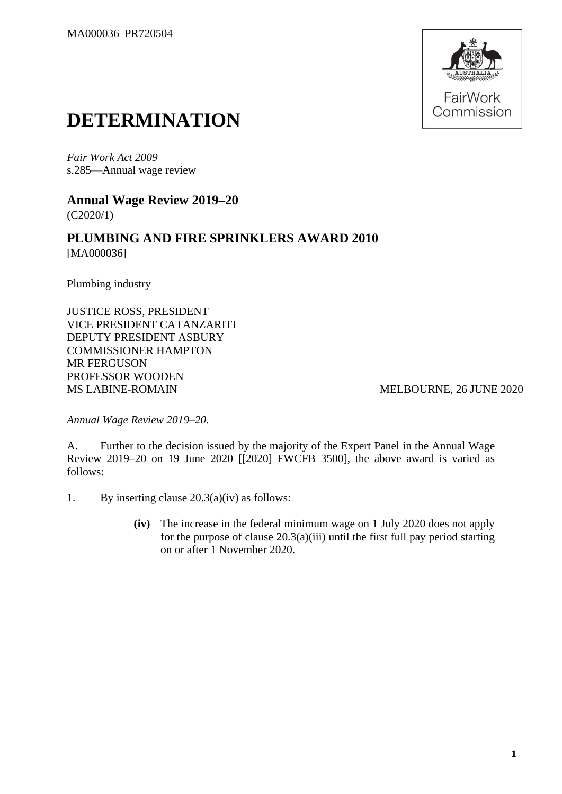

## **DETERMINATION**

*Fair Work Act 2009* s.285—Annual wage review

**Annual Wage Review 2019–20** (C2020/1)

**PLUMBING AND FIRE SPRINKLERS AWARD 2010** [MA000036]

Plumbing industry

JUSTICE ROSS, PRESIDENT VICE PRESIDENT CATANZARITI DEPUTY PRESIDENT ASBURY COMMISSIONER HAMPTON MR FERGUSON PROFESSOR WOODEN MS LABINE-ROMAIN MELBOURNE, 26 JUNE 2020

*Annual Wage Review 2019–20.*

A. Further to the decision issued by the majority of the Expert Panel in the Annual Wage Review 2019–20 on 19 June 2020 [[2020] FWCFB 3500], the above award is varied as follows:

- 1. By inserting clause 20.3(a)(iv) as follows:
	- **(iv)** The increase in the federal minimum wage on 1 July 2020 does not apply for the purpose of clause  $20.3(a)(iii)$  until the first full pay period starting on or after 1 November 2020.